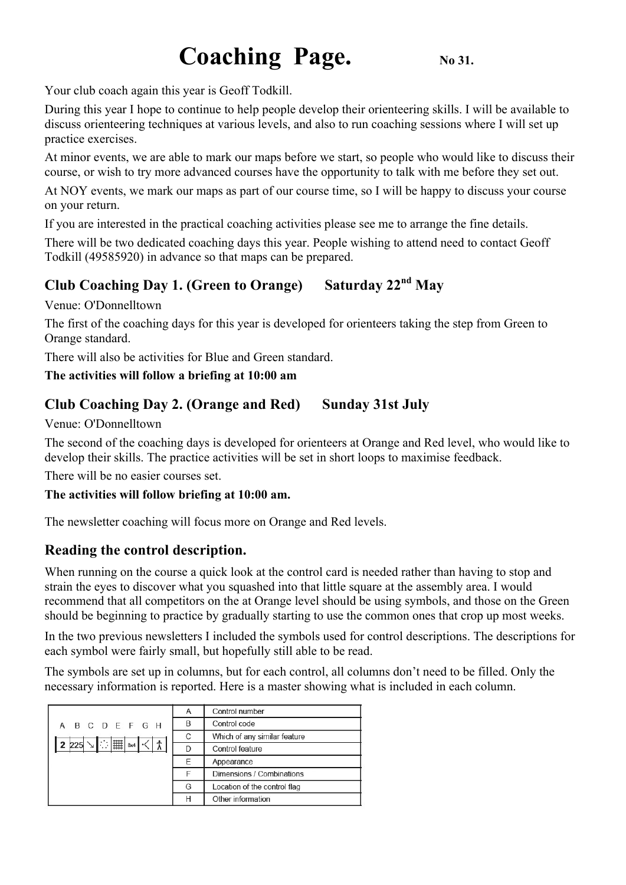# **Coaching Page.** No 31.

Your club coach again this year is Geoff Todkill.

During this year I hope to continue to help people develop their orienteering skills. I will be available to discuss orienteering techniques at various levels, and also to run coaching sessions where I will set up practice exercises.

At minor events, we are able to mark our maps before we start, so people who would like to discuss their course, or wish to try more advanced courses have the opportunity to talk with me before they set out.

At NOY events, we mark our maps as part of our course time, so I will be happy to discuss your course on your return.

If you are interested in the practical coaching activities please see me to arrange the fine details.

There will be two dedicated coaching days this year. People wishing to attend need to contact Geoff Todkill (49585920) in advance so that maps can be prepared.

## **Club Coaching Day 1. (Green to Orange) Saturday 22nd May**

Venue: O'Donnelltown

The first of the coaching days for this year is developed for orienteers taking the step from Green to Orange standard.

There will also be activities for Blue and Green standard.

### **The activities will follow a briefing at 10:00 am**

## **Club Coaching Day 2. (Orange and Red) Sunday 31st July**

Venue: O'Donnelltown

The second of the coaching days is developed for orienteers at Orange and Red level, who would like to develop their skills. The practice activities will be set in short loops to maximise feedback.

There will be no easier courses set.

### **The activities will follow briefing at 10:00 am.**

The newsletter coaching will focus more on Orange and Red levels.

## **Reading the control description.**

When running on the course a quick look at the control card is needed rather than having to stop and strain the eyes to discover what you squashed into that little square at the assembly area. I would recommend that all competitors on the at Orange level should be using symbols, and those on the Green should be beginning to practice by gradually starting to use the common ones that crop up most weeks.

In the two previous newsletters I included the symbols used for control descriptions. The descriptions for each symbol were fairly small, but hopefully still able to be read.

The symbols are set up in columns, but for each control, all columns don't need to be filled. Only the necessary information is reported. Here is a master showing what is included in each column.

|                              | Α | Control number                          |  |  |
|------------------------------|---|-----------------------------------------|--|--|
| A B C D E F G H              | B | Control code                            |  |  |
|                              | C | Which of any similar feature            |  |  |
| 2 225 $\ \cdot\ $   $\ $ 8x4 |   | Control feature                         |  |  |
|                              | F | Appearance<br>Dimensions / Combinations |  |  |
|                              |   |                                         |  |  |
|                              | G | Location of the control flag            |  |  |
|                              | Н | Other information                       |  |  |